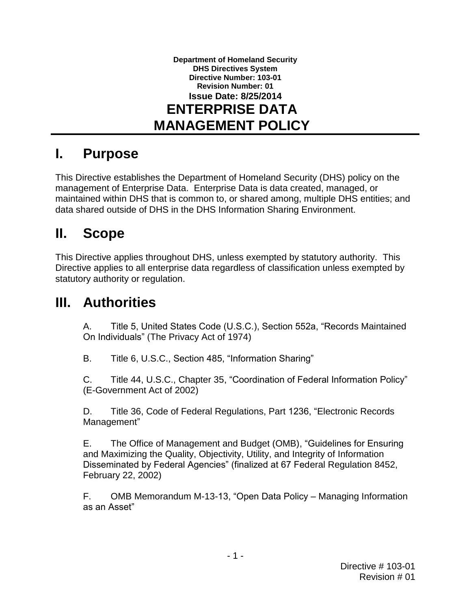**Department of Homeland Security DHS Directives System Directive Number: 103-01 Revision Number: 01 Issue Date: 8/25/2014 ENTERPRISE DATA MANAGEMENT POLICY**

### **I. Purpose**

 management of Enterprise Data. Enterprise Data is data created, managed, or This Directive establishes the Department of Homeland Security (DHS) policy on the maintained within DHS that is common to, or shared among, multiple DHS entities; and data shared outside of DHS in the DHS Information Sharing Environment.

# **II. Scope**

 This Directive applies throughout DHS, unless exempted by statutory authority. This Directive applies to all enterprise data regardless of classification unless exempted by statutory authority or regulation.

## **III. Authorities**

A. Title 5, United States Code (U.S.C.), Section 552a, "Records Maintained On Individuals" (The Privacy Act of 1974)

B. Title 6, U.S.C., Section 485, "Information Sharing"

 (E-Government Act of 2002) C. Title 44, U.S.C., Chapter 35, "Coordination of Federal Information Policy"

D. Title 36, Code of Federal Regulations, Part 1236, "Electronic Records Management"

 February 22, 2002) E. The Office of Management and Budget (OMB), "Guidelines for Ensuring and Maximizing the Quality, Objectivity, Utility, and Integrity of Information Disseminated by Federal Agencies" (finalized at 67 Federal Regulation 8452,

Е. OMB Memorandum M-13-13, "Open Data Policy – Managing Information as an Asset"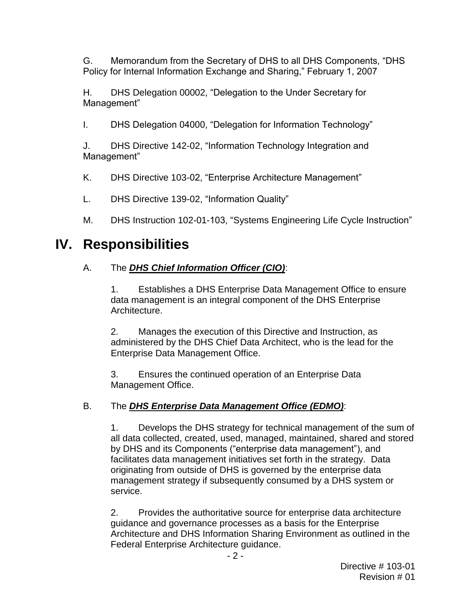G. Memorandum from the Secretary of DHS to all DHS Components, "DHS Policy for Internal Information Exchange and Sharing," February 1, 2007

H. DHS Delegation 00002, "Delegation to the Under Secretary for Management"

I. DHS Delegation 04000, "Delegation for Information Technology"

 J. DHS Directive 142-02, "Information Technology Integration and Management"

K. DHS Directive 103-02, "Enterprise Architecture Management"

L. DHS Directive 139-02, "Information Quality"

M. DHS Instruction 102-01-103, "Systems Engineering Life Cycle Instruction"

## **IV. Responsibilities**

#### A. The *DHS Chief Information Officer (CIO)*:

 1. Establishes a DHS Enterprise Data Management Office to ensure data management is an integral component of the DHS Enterprise Architecture.

 administered by the DHS Chief Data Architect, who is the lead for the 2. Manages the execution of this Directive and Instruction, as Enterprise Data Management Office.

 3. Ensures the continued operation of an Enterprise Data Management Office.

#### B. The *DHS Enterprise Data Management Office (EDMO)*:

 1. Develops the DHS strategy for technical management of the sum of all data collected, created, used, managed, maintained, shared and stored facilitates data management initiatives set forth in the strategy. Data originating from outside of DHS is governed by the enterprise data by DHS and its Components ("enterprise data management"), and management strategy if subsequently consumed by a DHS system or service.

 2. Provides the authoritative source for enterprise data architecture guidance and governance processes as a basis for the Enterprise Architecture and DHS Information Sharing Environment as outlined in the Federal Enterprise Architecture guidance.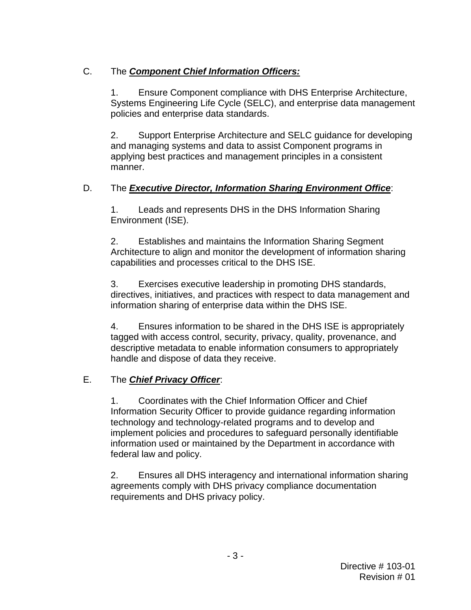#### C. The *Component Chief Information Officers:*

 1. Ensure Component compliance with DHS Enterprise Architecture, Systems Engineering Life Cycle (SELC), and enterprise data management policies and enterprise data standards.

 and managing systems and data to assist Component programs in 2. Support Enterprise Architecture and SELC guidance for developing applying best practices and management principles in a consistent manner.

#### D. The *Executive Director, Information Sharing Environment Office*:

 1. Leads and represents DHS in the DHS Information Sharing Environment (ISE).

 2. Establishes and maintains the Information Sharing Segment Architecture to align and monitor the development of information sharing capabilities and processes critical to the DHS ISE.

 information sharing of enterprise data within the DHS ISE. 3. Exercises executive leadership in promoting DHS standards, directives, initiatives, and practices with respect to data management and

4. Ensures information to be shared in the DHS ISE is appropriately tagged with access control, security, privacy, quality, provenance, and descriptive metadata to enable information consumers to appropriately handle and dispose of data they receive.

#### E. The *Chief Privacy Officer*:

 technology and technology-related programs and to develop and 1. Coordinates with the Chief Information Officer and Chief Information Security Officer to provide guidance regarding information implement policies and procedures to safeguard personally identifiable information used or maintained by the Department in accordance with federal law and policy.

2. Ensures all DHS interagency and international information sharing agreements comply with DHS privacy compliance documentation requirements and DHS privacy policy.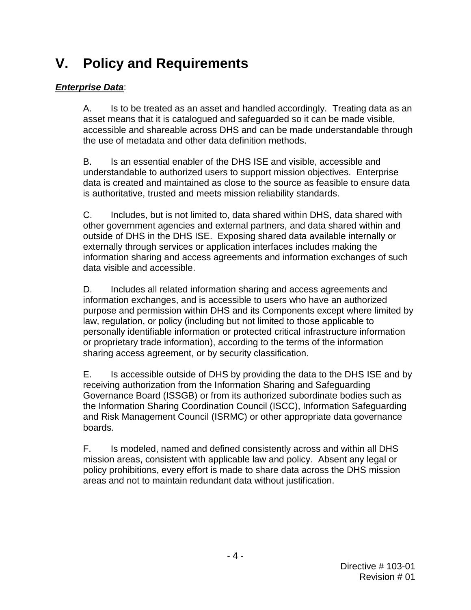# **V. Policy and Requirements**

#### *Enterprise Data*:

 $A_{-}$  the use of metadata and other data definition methods. Is to be treated as an asset and handled accordingly. Treating data as an asset means that it is catalogued and safeguarded so it can be made visible, accessible and shareable across DHS and can be made understandable through

B. understandable to authorized users to support mission objectives. Enterprise data is created and maintained as close to the source as feasible to ensure data is authoritative, trusted and meets mission reliability standards. Is an essential enabler of the DHS ISE and visible, accessible and

 C. Includes, but is not limited to, data shared within DHS, data shared with other government agencies and external partners, and data shared within and outside of DHS in the DHS ISE. Exposing shared data available internally or externally through services or application interfaces includes making the information sharing and access agreements and information exchanges of such data visible and accessible.

 D. Includes all related information sharing and access agreements and information exchanges, and is accessible to users who have an authorized purpose and permission within DHS and its Components except where limited by law, regulation, or policy (including but not limited to those applicable to or proprietary trade information), according to the terms of the information personally identifiable information or protected critical infrastructure information sharing access agreement, or by security classification.

 E. Is accessible outside of DHS by providing the data to the DHS ISE and by receiving authorization from the Information Sharing and Safeguarding Governance Board (ISSGB) or from its authorized subordinate bodies such as the Information Sharing Coordination Council (ISCC), Information Safeguarding and Risk Management Council (ISRMC) or other appropriate data governance boards.

F. areas and not to maintain redundant data without justification. Is modeled, named and defined consistently across and within all DHS mission areas, consistent with applicable law and policy. Absent any legal or policy prohibitions, every effort is made to share data across the DHS mission